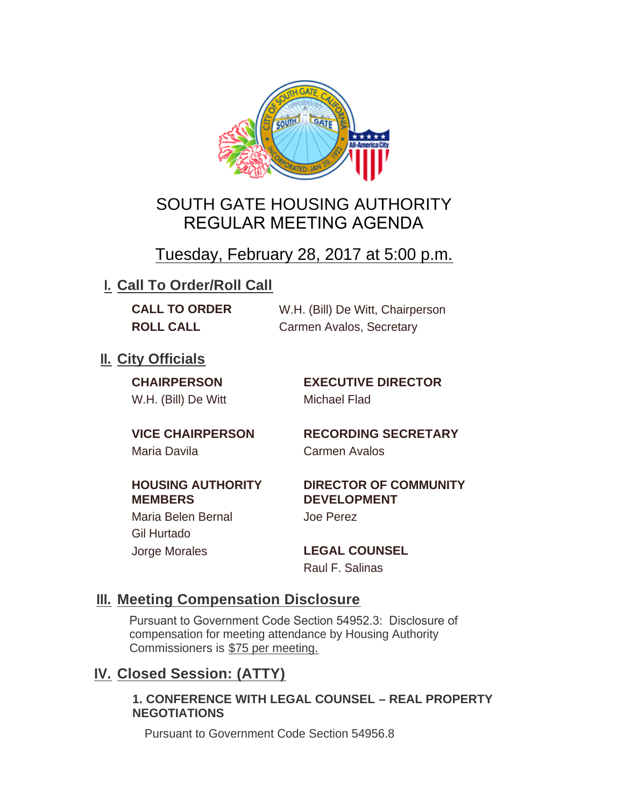

## SOUTH GATE HOUSING AUTHORITY REGULAR MEETING AGENDA

## Tuesday, February 28, 2017 at 5:00 p.m.

## **I. Call To Order/Roll Call**

**CALL TO ORDER** W.H. (Bill) De Witt, Chairperson **ROLL CALL Carmen Avalos, Secretary** 

## **II.** City Officials

W.H. (Bill) De Witt Michael Flad

**CHAIRPERSON EXECUTIVE DIRECTOR**

# Maria Davila Carmen Avalos

**VICE CHAIRPERSON RECORDING SECRETARY**

#### **HOUSING AUTHORITY MEMBERS**

**DIRECTOR OF COMMUNITY DEVELOPMENT**

Maria Belen Bernal Joe Perez Gil Hurtado Jorge Morales **LEGAL COUNSEL**

## Raul F. Salinas

#### **Meeting Compensation Disclosure III.**

Pursuant to Government Code Section 54952.3: Disclosure of compensation for meeting attendance by Housing Authority Commissioners is \$75 per meeting.

## **Closed Session: (ATTY) IV.**

#### **1. CONFERENCE WITH LEGAL COUNSEL – REAL PROPERTY NEGOTIATIONS**

Pursuant to Government Code Section 54956.8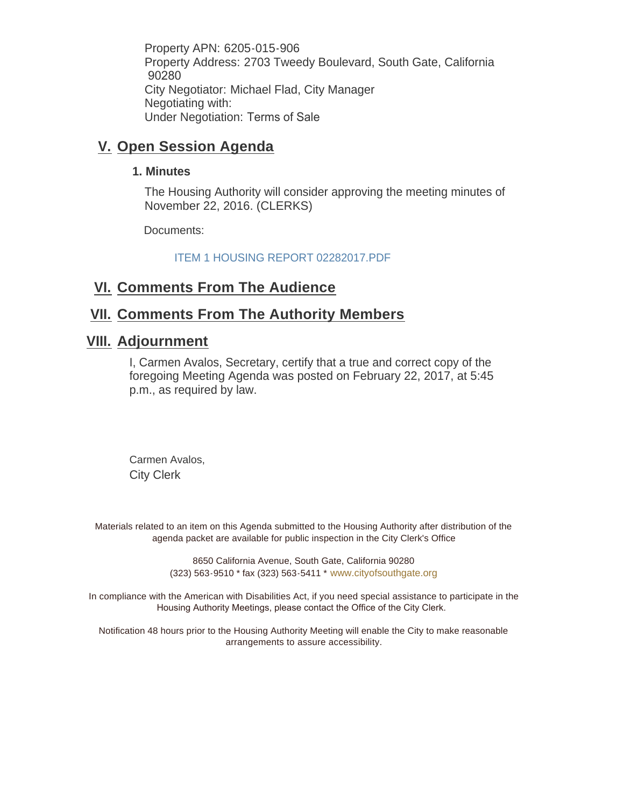Property APN: 6205-015-906 Property Address: 2703 Tweedy Boulevard, South Gate, California 90280 City Negotiator: Michael Flad, City Manager Negotiating with: Under Negotiation: Terms of Sale

#### **V.** Open Session Agenda

#### **1. Minutes**

The Housing Authority will consider approving the meeting minutes of November 22, 2016. (CLERKS)

Documents:

ITEM 1 HOUSING REPORT 02282017.PDF

## **<u>VI. Comments From The Audience</u>**

### **<u>VII. Comments From The Authority Members</u>**

## **Adjournment VIII.**

I, Carmen Avalos, Secretary, certify that a true and correct copy of the foregoing Meeting Agenda was posted on February 22, 2017, at 5:45 p.m., as required by law.

Carmen Avalos, City Clerk

Materials related to an item on this Agenda submitted to the Housing Authority after distribution of the agenda packet are available for public inspection in the City Clerk's Office

> 8650 California Avenue, South Gate, California 90280 (323) 563-9510 \* fax (323) 563-5411 \* [www.cityofsouthgate.org](http://www.cityofsouthgate.org/)

In compliance with the American with Disabilities Act, if you need special assistance to participate in the Housing Authority Meetings, please contact the Office of the City Clerk.

Notification 48 hours prior to the Housing Authority Meeting will enable the City to make reasonable arrangements to assure accessibility.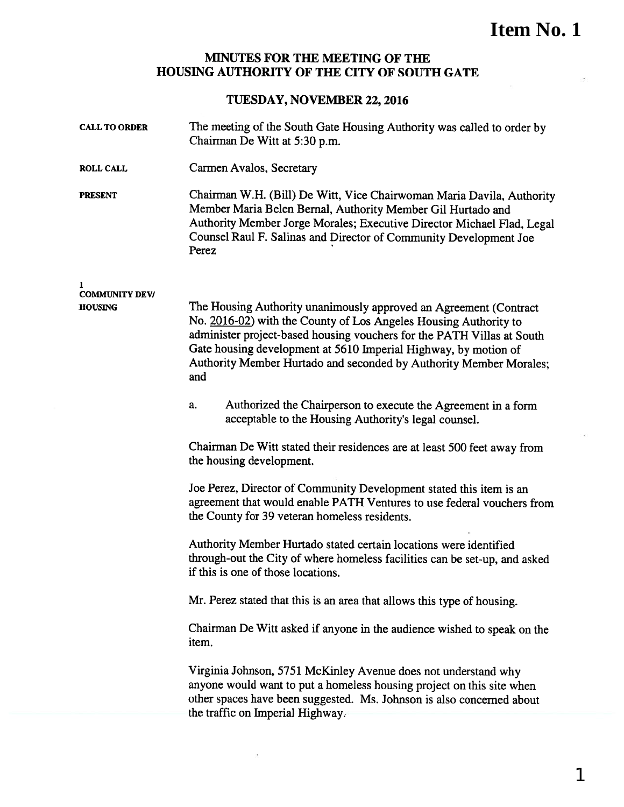## **Item No. 1**

#### MINUTES FOR THE MEETING OF THE HOUSING AUTHORITY OF THE CITY OF SOUTH GATE

#### TUESDAY, NOVEMBER 22, 2016

| <b>CALL TO ORDER</b>                         | The meeting of the South Gate Housing Authority was called to order by<br>Chairman De Witt at 5:30 p.m.                                                                                                                                                                                                                                                          |
|----------------------------------------------|------------------------------------------------------------------------------------------------------------------------------------------------------------------------------------------------------------------------------------------------------------------------------------------------------------------------------------------------------------------|
| <b>ROLL CALL</b>                             | Carmen Avalos, Secretary                                                                                                                                                                                                                                                                                                                                         |
| <b>PRESENT</b>                               | Chairman W.H. (Bill) De Witt, Vice Chairwoman Maria Davila, Authority<br>Member Maria Belen Bernal, Authority Member Gil Hurtado and<br>Authority Member Jorge Morales; Executive Director Michael Flad, Legal<br>Counsel Raul F. Salinas and Director of Community Development Joe<br>Perez                                                                     |
| 1<br><b>COMMUNITY DEV/</b><br><b>HOUSING</b> | The Housing Authority unanimously approved an Agreement (Contract)<br>No. 2016-02) with the County of Los Angeles Housing Authority to<br>administer project-based housing vouchers for the PATH Villas at South<br>Gate housing development at 5610 Imperial Highway, by motion of<br>Authority Member Hurtado and seconded by Authority Member Morales;<br>and |
|                                              | Authorized the Chairperson to execute the Agreement in a form<br>a.<br>acceptable to the Housing Authority's legal counsel.                                                                                                                                                                                                                                      |
|                                              | Chairman De Witt stated their residences are at least 500 feet away from<br>the housing development.                                                                                                                                                                                                                                                             |
|                                              | Joe Perez, Director of Community Development stated this item is an<br>agreement that would enable PATH Ventures to use federal vouchers from<br>the County for 39 veteran homeless residents.                                                                                                                                                                   |
|                                              | Authority Member Hurtado stated certain locations were identified<br>through-out the City of where homeless facilities can be set-up, and asked<br>if this is one of those locations.                                                                                                                                                                            |
|                                              | Mr. Perez stated that this is an area that allows this type of housing.                                                                                                                                                                                                                                                                                          |
|                                              | Chairman De Witt asked if anyone in the audience wished to speak on the<br>item.                                                                                                                                                                                                                                                                                 |
|                                              | Virginia Johnson, 5751 McKinley Avenue does not understand why<br>anyone would want to put a homeless housing project on this site when<br>other spaces have been suggested. Ms. Johnson is also concerned about<br>the traffic on Imperial Highway.                                                                                                             |
|                                              |                                                                                                                                                                                                                                                                                                                                                                  |